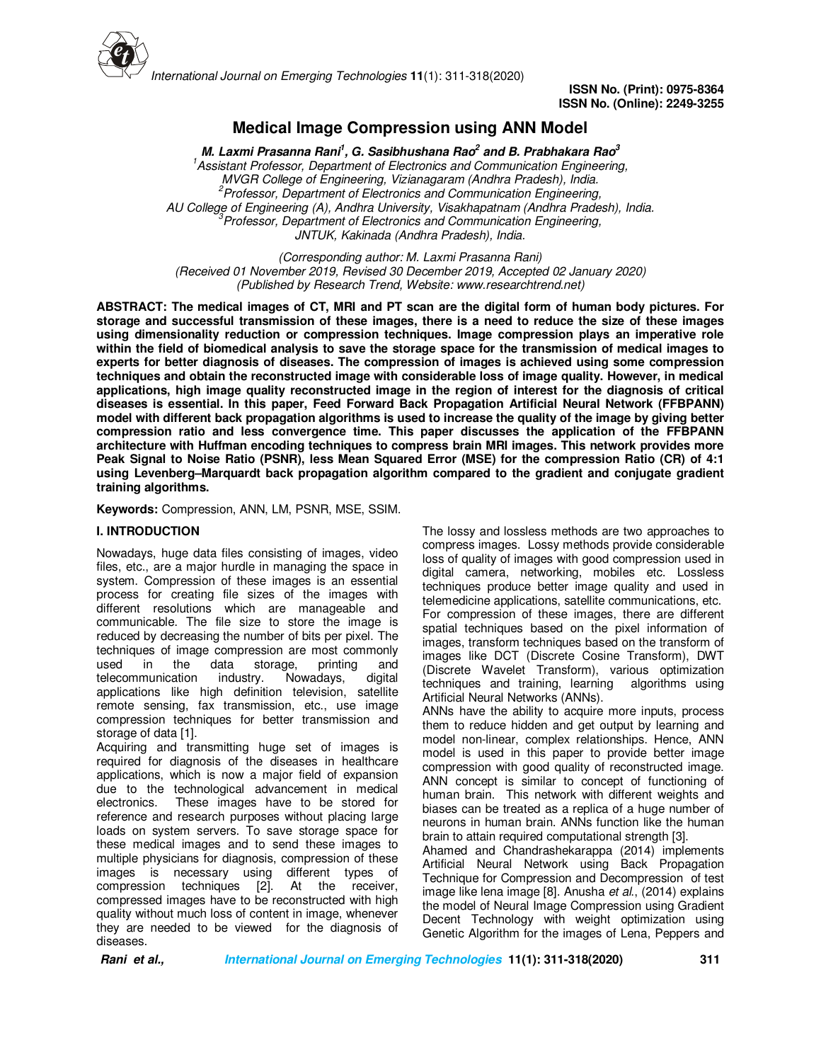

**ISSN No. (Print): 0975-8364 ISSN No. (Online): 2249-3255** 

# **Medical Image Compression using ANN Model**

**M. Laxmi Prasanna Rani<sup>1</sup> , G. Sasibhushana Rao<sup>2</sup> and B. Prabhakara Rao<sup>3</sup>** *<sup>1</sup>Assistant Professor, Department of Electronics and Communication Engineering, MVGR College of Engineering, Vizianagaram (Andhra Pradesh), India. <sup>2</sup>Professor, Department of Electronics and Communication Engineering, AU College of Engineering (A), Andhra University, Visakhapatnam (Andhra Pradesh), India. <sup>3</sup>Professor, Department of Electronics and Communication Engineering, JNTUK, Kakinada (Andhra Pradesh), India.*

*(Corresponding author: M. Laxmi Prasanna Rani) (Received 01 November 2019, Revised 30 December 2019, Accepted 02 January 2020) (Published by Research Trend, Website: www.researchtrend.net)*

**ABSTRACT: The medical images of CT, MRI and PT scan are the digital form of human body pictures. For storage and successful transmission of these images, there is a need to reduce the size of these images using dimensionality reduction or compression techniques. Image compression plays an imperative role within the field of biomedical analysis to save the storage space for the transmission of medical images to experts for better diagnosis of diseases. The compression of images is achieved using some compression techniques and obtain the reconstructed image with considerable loss of image quality. However, in medical applications, high image quality reconstructed image in the region of interest for the diagnosis of critical diseases is essential. In this paper, Feed Forward Back Propagation Artificial Neural Network (FFBPANN) model with different back propagation algorithms is used to increase the quality of the image by giving better compression ratio and less convergence time. This paper discusses the application of the FFBPANN architecture with Huffman encoding techniques to compress brain MRI images. This network provides more Peak Signal to Noise Ratio (PSNR), less Mean Squared Error (MSE) for the compression Ratio (CR) of 4:1 using Levenberg–Marquardt back propagation algorithm compared to the gradient and conjugate gradient training algorithms.** 

**Keywords:** Compression, ANN, LM, PSNR, MSE, SSIM.

# **I. INTRODUCTION**

Nowadays, huge data files consisting of images, video files, etc., are a major hurdle in managing the space in system. Compression of these images is an essential process for creating file sizes of the images with different resolutions which are manageable and communicable. The file size to store the image is reduced by decreasing the number of bits per pixel. The techniques of image compression are most commonly used in the data storage, printing and used in the data storage, printing and<br>telecommunication industry. Nowadays, digital telecommunication industry. applications like high definition television, satellite remote sensing, fax transmission, etc., use image compression techniques for better transmission and storage of data [1].

Acquiring and transmitting huge set of images is required for diagnosis of the diseases in healthcare applications, which is now a major field of expansion due to the technological advancement in medical electronics. These images have to be stored for reference and research purposes without placing large loads on system servers. To save storage space for these medical images and to send these images to multiple physicians for diagnosis, compression of these images is necessary using different types of compression techniques [2]. At the receiver, compression techniques [2]. compressed images have to be reconstructed with high quality without much loss of content in image, whenever they are needed to be viewed for the diagnosis of diseases.

The lossy and lossless methods are two approaches to compress images. Lossy methods provide considerable loss of quality of images with good compression used in digital camera, networking, mobiles etc. Lossless techniques produce better image quality and used in telemedicine applications, satellite communications, etc. For compression of these images, there are different spatial techniques based on the pixel information of images, transform techniques based on the transform of images like DCT (Discrete Cosine Transform), DWT (Discrete Wavelet Transform), various optimization<br>techniques and training, learning algorithms using techniques and training, learning Artificial Neural Networks (ANNs).

ANNs have the ability to acquire more inputs, process them to reduce hidden and get output by learning and model non-linear, complex relationships. Hence, ANN model is used in this paper to provide better image compression with good quality of reconstructed image. ANN concept is similar to concept of functioning of human brain. This network with different weights and biases can be treated as a replica of a huge number of neurons in human brain. ANNs function like the human brain to attain required computational strength [3].

Ahamed and Chandrashekarappa (2014) implements Artificial Neural Network using Back Propagation Technique for Compression and Decompression of test image like lena image [8]. Anusha *et al*., (2014) explains the model of Neural Image Compression using Gradient Decent Technology with weight optimization using Genetic Algorithm for the images of Lena, Peppers and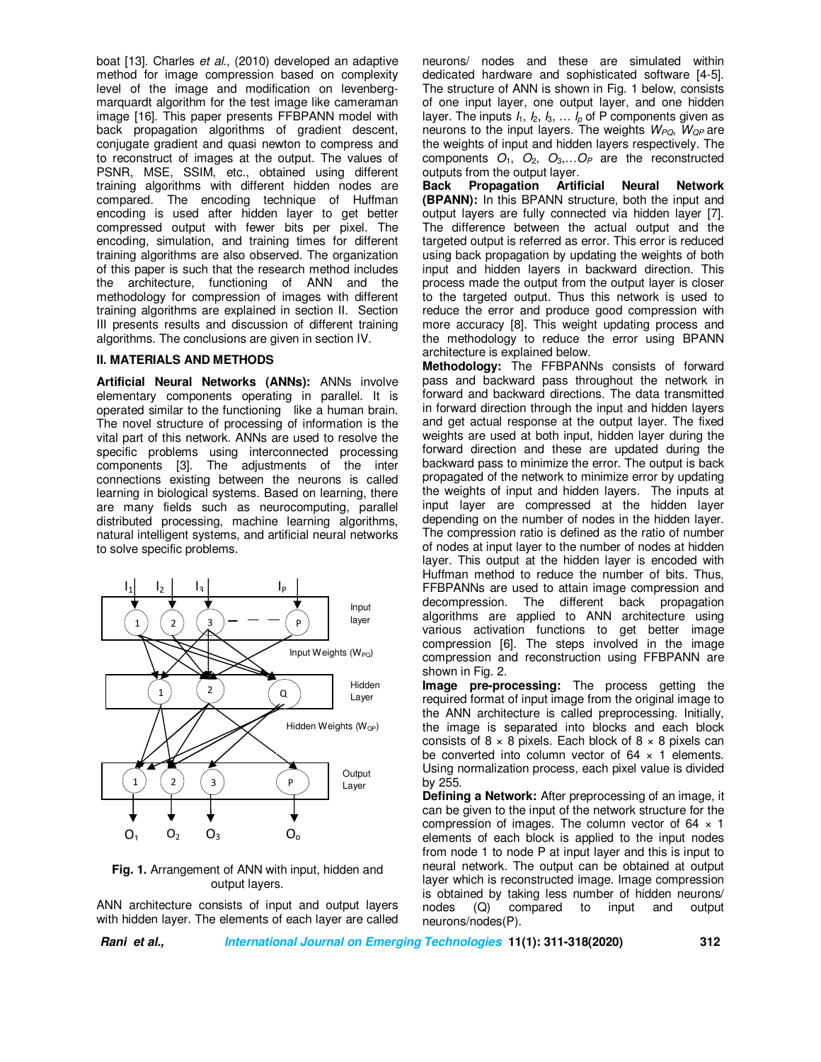boat [13]. Charles *et al.*, (2010) developed an adaptive method for image compression based on complexity level of the image and modification on levenbergmarquardt algorithm for the test image like cameraman image [16]. This paper presents FFBPANN model with back propagation algorithms of gradient descent, conjugate gradient and quasi newton to compress and to reconstruct of images at the output. The values of PSNR, MSE, SSIM, etc., obtained using different training algorithms with different hidden nodes are compared. The encoding technique of Huffman encoding is used after hidden layer to get better compressed output with fewer bits per pixel. The encoding, simulation, and training times for different training algorithms are also observed. The organization of this paper is such that the research method includes the architecture, functioning of ANN and the methodology for compression of images with different training algorithms are explained in section II. Section III presents results and discussion of different training algorithms. The conclusions are given in section IV.

#### **II. MATERIALS AND METHODS**

**Artificial Neural Networks (ANNs):** ANNs involve elementary components operating in parallel. It is operated similar to the functioning like a human brain. The novel structure of processing of information is the vital part of this network. ANNs are used to resolve the specific problems using interconnected processing components [3]. The adjustments of the inter connections existing between the neurons is called learning in biological systems. Based on learning, there are many fields such as neurocomputing, parallel distributed processing, machine learning algorithms, natural intelligent systems, and artificial neural networks to solve specific problems.



**Fig. 1.** Arrangement of ANN with input, hidden and output layers.

ANN architecture consists of input and output layers with hidden layer. The elements of each layer are called neurons/ nodes and these are simulated within dedicated hardware and sophisticated software [4-5]. The structure of ANN is shown in Fig. 1 below, consists of one input layer, one output layer, and one hidden layer. The inputs  $I_1$ ,  $I_2$ ,  $I_3$ ,  $\ldots$   $I_p$  of P components given as neurons to the input layers. The weights *WPQ*, *WQP* are the weights of input and hidden layers respectively. The components  $O_1$ ,  $O_2$ ,  $O_3$ , ...  $O_P$  are the reconstructed outputs from the output layer.

**Back Propagation Artificial Neural Network (BPANN):** In this BPANN structure, both the input and output layers are fully connected via hidden layer [7]. The difference between the actual output and the targeted output is referred as error. This error is reduced using back propagation by updating the weights of both input and hidden layers in backward direction. This process made the output from the output layer is closer to the targeted output. Thus this network is used to reduce the error and produce good compression with more accuracy [8]. This weight updating process and the methodology to reduce the error using BPANN architecture is explained below.

**Methodology:** The FFBPANNs consists of forward pass and backward pass throughout the network in forward and backward directions. The data transmitted in forward direction through the input and hidden layers and get actual response at the output layer. The fixed weights are used at both input, hidden layer during the forward direction and these are updated during the backward pass to minimize the error. The output is back propagated of the network to minimize error by updating the weights of input and hidden layers. The inputs at input layer are compressed at the hidden layer depending on the number of nodes in the hidden layer. The compression ratio is defined as the ratio of number of nodes at input layer to the number of nodes at hidden layer. This output at the hidden layer is encoded with Huffman method to reduce the number of bits. Thus, FFBPANNs are used to attain image compression and decompression. The different back propagation algorithms are applied to ANN architecture using various activation functions to get better image compression [6]. The steps involved in the image compression and reconstruction using FFBPANN are shown in Fig. 2.

**Image pre-processing:** The process getting the required format of input image from the original image to the ANN architecture is called preprocessing. Initially, the image is separated into blocks and each block consists of  $8 \times 8$  pixels. Each block of  $8 \times 8$  pixels can be converted into column vector of  $64 \times 1$  elements. Using normalization process, each pixel value is divided by 255.

**Defining a Network:** After preprocessing of an image, it can be given to the input of the network structure for the compression of images. The column vector of  $64 \times 1$ elements of each block is applied to the input nodes from node 1 to node P at input layer and this is input to neural network. The output can be obtained at output layer which is reconstructed image. Image compression is obtained by taking less number of hidden neurons/ nodes (Q) compared to input and output neurons/nodes(P).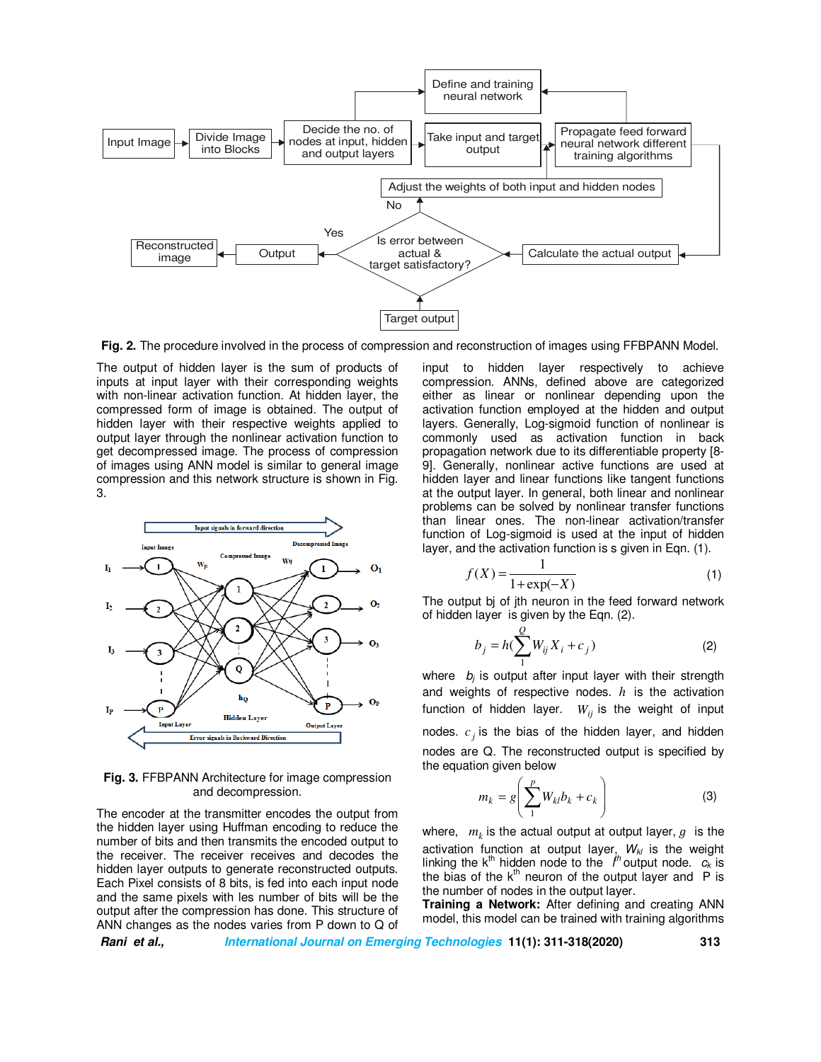

**Fig. 2.** The procedure involved in the process of compression and reconstruction of images using FFBPANN Model.

The output of hidden layer is the sum of products of inputs at input layer with their corresponding weights with non-linear activation function. At hidden layer, the compressed form of image is obtained. The output of hidden layer with their respective weights applied to output layer through the nonlinear activation function to get decompressed image. The process of compression of images using ANN model is similar to general image compression and this network structure is shown in Fig. 3.



**Fig. 3.** FFBPANN Architecture for image compression and decompression.

The encoder at the transmitter encodes the output from the hidden layer using Huffman encoding to reduce the number of bits and then transmits the encoded output to the receiver. The receiver receives and decodes the hidden layer outputs to generate reconstructed outputs. Each Pixel consists of 8 bits, is fed into each input node and the same pixels with les number of bits will be the output after the compression has done. This structure of ANN changes as the nodes varies from P down to Q of input to hidden layer respectively to achieve compression. ANNs, defined above are categorized either as linear or nonlinear depending upon the activation function employed at the hidden and output layers. Generally, Log-sigmoid function of nonlinear is commonly used as activation function in back propagation network due to its differentiable property [8- 9]. Generally, nonlinear active functions are used at hidden layer and linear functions like tangent functions at the output layer. In general, both linear and nonlinear problems can be solved by nonlinear transfer functions than linear ones. The non-linear activation/transfer function of Log-sigmoid is used at the input of hidden layer, and the activation function is s given in Eqn. (1).

$$
f(X) = \frac{1}{1 + \exp(-X)}\tag{1}
$$

The output bj of jth neuron in the feed forward network of hidden layer is given by the Eqn. (2).

$$
b_j = h(\sum_{1}^{Q} W_{ij} X_i + c_j)
$$
 (2)

where *bj* is output after input layer with their strength and weights of respective nodes. *h* is the activation function of hidden layer.  $W_{ii}$  is the weight of input nodes.  $c_j$  is the bias of the hidden layer, and hidden nodes are Q. The reconstructed output is specified by the equation given below

$$
m_k = g\left(\sum_{1}^{p} W_{kl} b_k + c_k\right) \tag{3}
$$

where,  $m_k$  is the actual output at output layer,  $g$  is the activation function at output layer, *Wkl* is the weight linking the  $k^{th}$  hidden node to the  $\hat{I}^h$  output node.  $c_k$  is the bias of the  $k^{\text{th}}$  neuron of the output layer and P is the number of nodes in the output layer.

**Training a Network:** After defining and creating ANN model, this model can be trained with training algorithms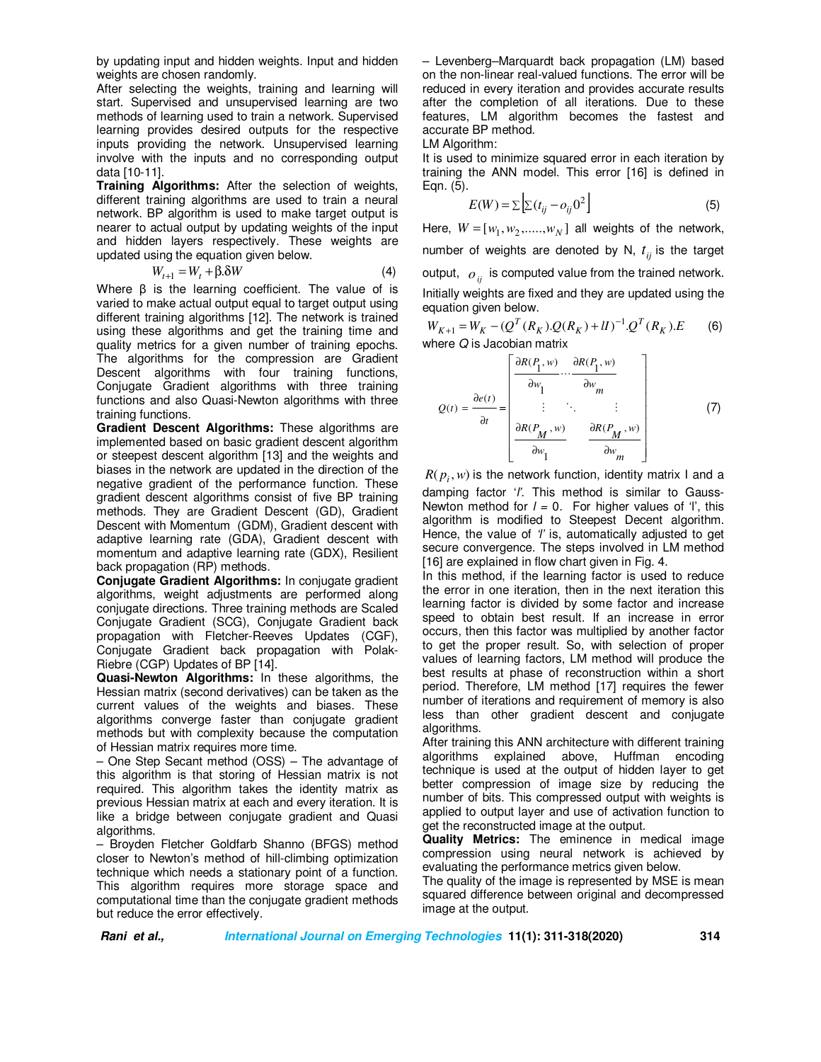by updating input and hidden weights. Input and hidden weights are chosen randomly.

After selecting the weights, training and learning will start. Supervised and unsupervised learning are two methods of learning used to train a network. Supervised learning provides desired outputs for the respective inputs providing the network. Unsupervised learning involve with the inputs and no corresponding output data [10-11].

**Training Algorithms:** After the selection of weights, different training algorithms are used to train a neural network. BP algorithm is used to make target output is nearer to actual output by updating weights of the input and hidden layers respectively. These weights are updated using the equation given below.

$$
W_{t+1} = W_t + \beta \delta W \tag{4}
$$

l, Where β is the learning coefficient. The value of is varied to make actual output equal to target output using different training algorithms [12]. The network is trained using these algorithms and get the training time and quality metrics for a given number of training epochs. The algorithms for the compression are Gradient Descent algorithms with four training functions, Conjugate Gradient algorithms with three training functions and also Quasi-Newton algorithms with three training functions.

**Gradient Descent Algorithms:** These algorithms are implemented based on basic gradient descent algorithm or steepest descent algorithm [13] and the weights and biases in the network are updated in the direction of the negative gradient of the performance function. These gradient descent algorithms consist of five BP training methods. They are Gradient Descent (GD), Gradient Descent with Momentum (GDM), Gradient descent with adaptive learning rate (GDA), Gradient descent with momentum and adaptive learning rate (GDX), Resilient back propagation (RP) methods.

**Conjugate Gradient Algorithms:** In conjugate gradient algorithms, weight adjustments are performed along conjugate directions. Three training methods are Scaled Conjugate Gradient (SCG), Conjugate Gradient back propagation with Fletcher-Reeves Updates (CGF), Conjugate Gradient back propagation with Polak-Riebre (CGP) Updates of BP [14].

**Quasi-Newton Algorithms:** In these algorithms, the Hessian matrix (second derivatives) can be taken as the current values of the weights and biases. These algorithms converge faster than conjugate gradient methods but with complexity because the computation of Hessian matrix requires more time.

– One Step Secant method (OSS) – The advantage of this algorithm is that storing of Hessian matrix is not required. This algorithm takes the identity matrix as previous Hessian matrix at each and every iteration. It is like a bridge between conjugate gradient and Quasi algorithms.

– Broyden Fletcher Goldfarb Shanno (BFGS) method closer to Newton's method of hill-climbing optimization technique which needs a stationary point of a function. This algorithm requires more storage space and computational time than the conjugate gradient methods but reduce the error effectively.

– Levenberg–Marquardt back propagation (LM) based on the non-linear real-valued functions. The error will be reduced in every iteration and provides accurate results after the completion of all iterations. Due to these features, LM algorithm becomes the fastest and accurate BP method.

LM Algorithm:

It is used to minimize squared error in each iteration by training the ANN model. This error [16] is defined in Eqn. (5).

$$
E(W) = \sum \left[ \sum (t_{ij} - o_{ij} 0^2) \right]
$$
 (5)

Here,  $W = [w_1, w_2, \dots, w_N]$  all weights of the network, number of weights are denoted by N,  $t_{ii}$  is the target output, *oij* is computed value from the trained network. Initially weights are fixed and they are updated using the equation given below.

 $W_{K+1} = W_K - (Q^T(R_K).Q(R_K) + II)^{-1}.Q^T(R_K).E$ (6) where *Q* is Jacobian matrix

$$
Q(t) = \frac{\partial e(t)}{\partial t} = \begin{bmatrix} \frac{\partial R(P_1, w)}{\partial w_1} \cdots \frac{\partial R(P_1, w)}{\partial w_m} \\ \vdots & \ddots & \vdots \\ \frac{\partial R(P_M, w)}{\partial w_1} \cdots \frac{\partial R(P_M, w)}{\partial w_m} \end{bmatrix}
$$
(7)

 $R(p_i, w)$  is the network function, identity matrix I and a damping factor '*l'*. This method is similar to Gauss-Newton method for  $l = 0$ . For higher values of 'l', this algorithm is modified to Steepest Decent algorithm. Hence, the value of *'l'* is, automatically adjusted to get secure convergence. The steps involved in LM method [16] are explained in flow chart given in Fig. 4.

In this method, if the learning factor is used to reduce the error in one iteration, then in the next iteration this learning factor is divided by some factor and increase speed to obtain best result. If an increase in error occurs, then this factor was multiplied by another factor to get the proper result. So, with selection of proper values of learning factors, LM method will produce the best results at phase of reconstruction within a short period. Therefore, LM method [17] requires the fewer number of iterations and requirement of memory is also less than other gradient descent and conjugate algorithms.

After training this ANN architecture with different training algorithms explained above, Huffman encoding technique is used at the output of hidden layer to get better compression of image size by reducing the number of bits. This compressed output with weights is applied to output layer and use of activation function to get the reconstructed image at the output.

**Quality Metrics:** The eminence in medical image compression using neural network is achieved by evaluating the performance metrics given below.

The quality of the image is represented by MSE is mean squared difference between original and decompressed image at the output.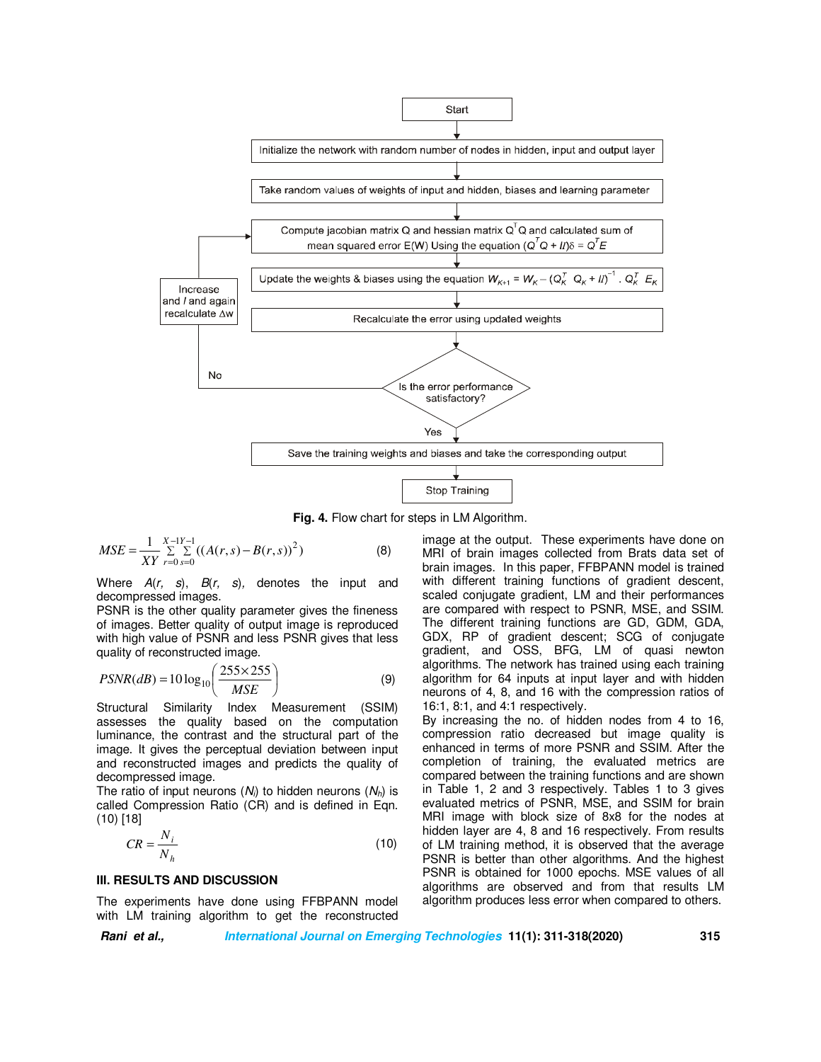

**Fig. 4.** Flow chart for steps in LM Algorithm.

$$
MSE = \frac{1}{XY} \sum_{r=0}^{X-1} \sum_{s=0}^{Y-1} ((A(r,s) - B(r,s))^2)
$$
(8)

Where *A*(*r, s*), *B*(*r, s*)*,* denotes the input and decompressed images.

PSNR is the other quality parameter gives the fineness of images. Better quality of output image is reproduced with high value of PSNR and less PSNR gives that less quality of reconstructed image.

$$
PSNR(dB) = 10 \log_{10} \left( \frac{255 \times 255}{MSE} \right)
$$
 (9)

Structural Similarity Index Measurement (SSIM) assesses the quality based on the computation luminance, the contrast and the structural part of the image. It gives the perceptual deviation between input and reconstructed images and predicts the quality of decompressed image.

The ratio of input neurons  $(N_i)$  to hidden neurons  $(N_h)$  is called Compression Ratio (CR) and is defined in Eqn. (10) [18]

$$
CR = \frac{N_i}{N_h} \tag{10}
$$

#### **III. RESULTS AND DISCUSSION**

The experiments have done using FFBPANN model with LM training algorithm to get the reconstructed image at the output. These experiments have done on MRI of brain images collected from Brats data set of brain images. In this paper, FFBPANN model is trained with different training functions of gradient descent, scaled conjugate gradient, LM and their performances are compared with respect to PSNR, MSE, and SSIM. The different training functions are GD, GDM, GDA, GDX, RP of gradient descent; SCG of conjugate gradient, and OSS, BFG, LM of quasi newton algorithms. The network has trained using each training algorithm for 64 inputs at input layer and with hidden neurons of 4, 8, and 16 with the compression ratios of 16:1, 8:1, and 4:1 respectively.

By increasing the no. of hidden nodes from 4 to 16, compression ratio decreased but image quality is enhanced in terms of more PSNR and SSIM. After the completion of training, the evaluated metrics are compared between the training functions and are shown in Table 1, 2 and 3 respectively. Tables 1 to 3 gives evaluated metrics of PSNR, MSE, and SSIM for brain MRI image with block size of 8x8 for the nodes at hidden layer are 4, 8 and 16 respectively. From results of LM training method, it is observed that the average PSNR is better than other algorithms. And the highest PSNR is obtained for 1000 epochs. MSE values of all algorithms are observed and from that results LM algorithm produces less error when compared to others.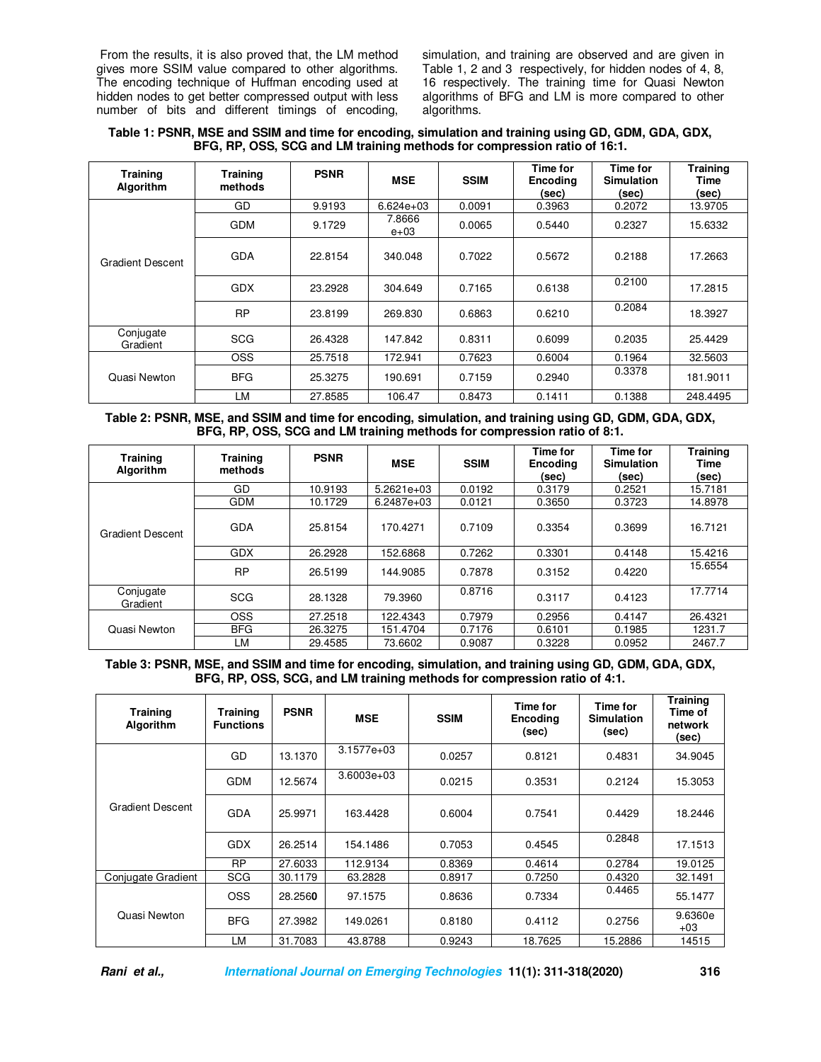From the results, it is also proved that, the LM method gives more SSIM value compared to other algorithms. The encoding technique of Huffman encoding used at hidden nodes to get better compressed output with less number of bits and different timings of encoding,

simulation, and training are observed and are given in Table 1, 2 and 3 respectively, for hidden nodes of 4, 8, 16 respectively. The training time for Quasi Newton algorithms of BFG and LM is more compared to other algorithms.

| Table 1: PSNR, MSE and SSIM and time for encoding, simulation and training using GD, GDM, GDA, GDX, |  |
|-----------------------------------------------------------------------------------------------------|--|
| BFG, RP, OSS, SCG and LM training methods for compression ratio of 16:1.                            |  |

| Training<br>Algorithm | <b>Training</b><br>methods | <b>PSNR</b> | <b>MSE</b>       | <b>SSIM</b> | Time for<br><b>Encoding</b><br>(sec) | Time for<br><b>Simulation</b><br>(sec) | <b>Training</b><br>Time<br>(sec) |
|-----------------------|----------------------------|-------------|------------------|-------------|--------------------------------------|----------------------------------------|----------------------------------|
|                       | GD                         | 9.9193      | $6.624e+03$      | 0.0091      | 0.3963                               | 0.2072                                 | 13.9705                          |
| Gradient Descent      | <b>GDM</b>                 | 9.1729      | 7.8666<br>$e+03$ | 0.0065      | 0.5440                               | 0.2327                                 | 15.6332                          |
|                       | <b>GDA</b>                 | 22.8154     | 340.048          | 0.7022      | 0.5672                               | 0.2188                                 | 17.2663                          |
|                       | <b>GDX</b>                 | 23.2928     | 304.649          | 0.7165      | 0.6138                               | 0.2100                                 | 17.2815                          |
|                       | <b>RP</b>                  | 23.8199     | 269.830          | 0.6863      | 0.6210                               | 0.2084                                 | 18.3927                          |
| Conjugate<br>Gradient | <b>SCG</b>                 | 26.4328     | 147.842          | 0.8311      | 0.6099                               | 0.2035                                 | 25.4429                          |
| Quasi Newton          | <b>OSS</b>                 | 25.7518     | 172.941          | 0.7623      | 0.6004                               | 0.1964                                 | 32.5603                          |
|                       | <b>BFG</b>                 | 25.3275     | 190.691          | 0.7159      | 0.2940                               | 0.3378                                 | 181.9011                         |
|                       | LM                         | 27.8585     | 106.47           | 0.8473      | 0.1411                               | 0.1388                                 | 248.4495                         |

**Table 2: PSNR, MSE, and SSIM and time for encoding, simulation, and training using GD, GDM, GDA, GDX, BFG, RP, OSS, SCG and LM training methods for compression ratio of 8:1.** 

| <b>Training</b><br>Algorithm | <b>Training</b><br>methods | <b>PSNR</b> | <b>MSE</b>   | <b>SSIM</b> | Time for<br><b>Encoding</b><br>(sec) | Time for<br><b>Simulation</b><br>(sec) | <b>Training</b><br><b>Time</b><br>(sec) |
|------------------------------|----------------------------|-------------|--------------|-------------|--------------------------------------|----------------------------------------|-----------------------------------------|
|                              | GD                         | 10.9193     | $5.2621e+03$ | 0.0192      | 0.3179                               | 0.2521                                 | 15.7181                                 |
|                              | <b>GDM</b>                 | 10.1729     | 6.2487e+03   | 0.0121      | 0.3650                               | 0.3723                                 | 14.8978                                 |
| <b>Gradient Descent</b>      | <b>GDA</b>                 | 25.8154     | 170.4271     | 0.7109      | 0.3354                               | 0.3699                                 | 16.7121                                 |
|                              | <b>GDX</b>                 | 26.2928     | 152.6868     | 0.7262      | 0.3301                               | 0.4148                                 | 15.4216                                 |
|                              | <b>RP</b>                  | 26.5199     | 144.9085     | 0.7878      | 0.3152                               | 0.4220                                 | 15.6554                                 |
| Conjugate<br>Gradient        | <b>SCG</b>                 | 28.1328     | 79.3960      | 0.8716      | 0.3117                               | 0.4123                                 | 17.7714                                 |
|                              | <b>OSS</b>                 | 27.2518     | 122.4343     | 0.7979      | 0.2956                               | 0.4147                                 | 26.4321                                 |
| Quasi Newton                 | <b>BFG</b>                 | 26.3275     | 151.4704     | 0.7176      | 0.6101                               | 0.1985                                 | 1231.7                                  |
|                              | LM                         | 29.4585     | 73.6602      | 0.9087      | 0.3228                               | 0.0952                                 | 2467.7                                  |

**Table 3: PSNR, MSE, and SSIM and time for encoding, simulation, and training using GD, GDM, GDA, GDX, BFG, RP, OSS, SCG, and LM training methods for compression ratio of 4:1.** 

| <b>Training</b><br>Algorithm | Training<br><b>Functions</b> | <b>PSNR</b> | <b>MSE</b>     | <b>SSIM</b> | Time for<br>Encoding<br>(sec) | Time for<br><b>Simulation</b><br>(sec) | <b>Training</b><br>Time of<br>network<br>(sec) |
|------------------------------|------------------------------|-------------|----------------|-------------|-------------------------------|----------------------------------------|------------------------------------------------|
| Gradient Descent             | GD                           | 13.1370     | $3.1577e + 03$ | 0.0257      | 0.8121                        | 0.4831                                 | 34.9045                                        |
|                              | <b>GDM</b>                   | 12.5674     | $3.6003e+03$   | 0.0215      | 0.3531                        | 0.2124                                 | 15.3053                                        |
|                              | GDA                          | 25.9971     | 163.4428       | 0.6004      | 0.7541                        | 0.4429                                 | 18.2446                                        |
|                              | <b>GDX</b>                   | 26.2514     | 154.1486       | 0.7053      | 0.4545                        | 0.2848                                 | 17.1513                                        |
|                              | <b>RP</b>                    | 27.6033     | 112.9134       | 0.8369      | 0.4614                        | 0.2784                                 | 19.0125                                        |
| Conjugate Gradient           | <b>SCG</b>                   | 30.1179     | 63.2828        | 0.8917      | 0.7250                        | 0.4320                                 | 32.1491                                        |
| Quasi Newton                 | <b>OSS</b>                   | 28.2560     | 97.1575        | 0.8636      | 0.7334                        | 0.4465                                 | 55.1477                                        |
|                              | <b>BFG</b>                   | 27.3982     | 149.0261       | 0.8180      | 0.4112                        | 0.2756                                 | 9.6360e<br>$+03$                               |
|                              | LM                           | 31.7083     | 43.8788        | 0.9243      | 18.7625                       | 15.2886                                | 14515                                          |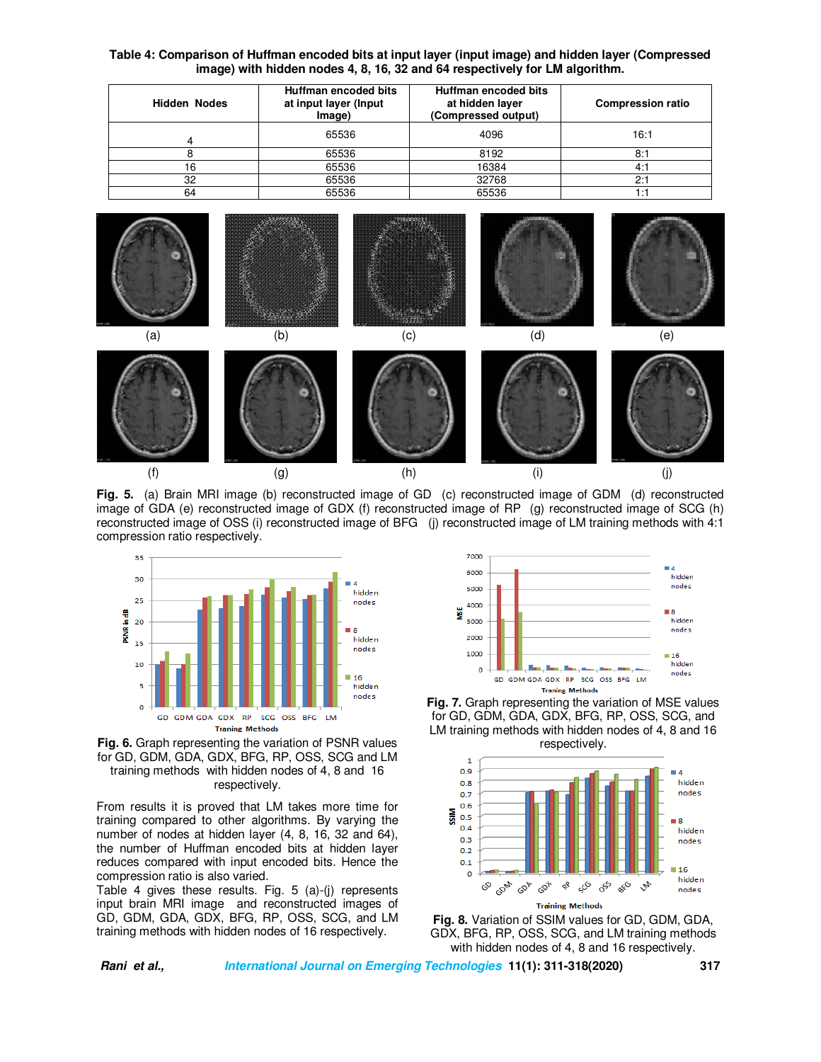#### **Table 4: Comparison of Huffman encoded bits at input layer (input image) and hidden layer (Compressed image) with hidden nodes 4, 8, 16, 32 and 64 respectively for LM algorithm.**

| <b>Hidden Nodes</b> | Huffman encoded bits<br>at input layer (Input<br>Image) | Huffman encoded bits<br>at hidden layer<br>(Compressed output) | <b>Compression ratio</b> |
|---------------------|---------------------------------------------------------|----------------------------------------------------------------|--------------------------|
|                     | 65536                                                   | 4096                                                           | 16:1                     |
|                     | 65536                                                   | 8192                                                           | 8:1                      |
| 16                  | 65536                                                   | 16384                                                          | 4:1                      |
| 32                  | 65536                                                   | 32768                                                          | 2:1                      |
| 64                  | 65536                                                   | 65536                                                          | . :1                     |



**Fig. 5.** (a) Brain MRI image (b) reconstructed image of GD (c) reconstructed image of GDM (d) reconstructed image of GDA (e) reconstructed image of GDX (f) reconstructed image of RP (g) reconstructed image of SCG (h) reconstructed image of OSS (i) reconstructed image of BFG (j) reconstructed image of LM training methods with 4:1 compression ratio respectively.





From results it is proved that LM takes more time for training compared to other algorithms. By varying the number of nodes at hidden layer (4, 8, 16, 32 and 64), the number of Huffman encoded bits at hidden layer reduces compared with input encoded bits. Hence the compression ratio is also varied.

Table 4 gives these results. Fig. 5 (a)-(j) represents input brain MRI image and reconstructed images of GD, GDM, GDA, GDX, BFG, RP, OSS, SCG, and LM training methods with hidden nodes of 16 respectively.



**Fig. 7.** Graph representing the variation of MSE values for GD, GDM, GDA, GDX, BFG, RP, OSS, SCG, and LM training methods with hidden nodes of 4, 8 and 16 respectively.



**Fig. 8.** Variation of SSIM values for GD, GDM, GDA, GDX, BFG, RP, OSS, SCG, and LM training methods with hidden nodes of 4, 8 and 16 respectively.